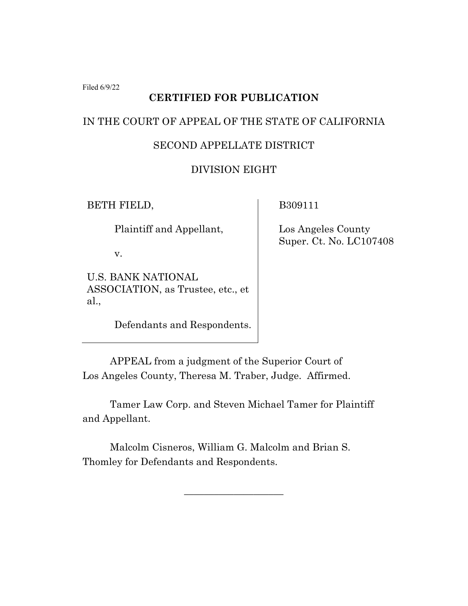Filed 6/9/22

### **CERTIFIED FOR PUBLICATION**

## IN THE COURT OF APPEAL OF THE STATE OF CALIFORNIA

## SECOND APPELLATE DISTRICT

## DIVISION EIGHT

BETH FIELD,

Plaintiff and Appellant,

v.

U.S. BANK NATIONAL ASSOCIATION, as Trustee, etc., et al.,

Defendants and Respondents.

B309111

 Los Angeles County Super. Ct. No. LC107408

APPEAL from a judgment of the Superior Court of Los Angeles County, Theresa M. Traber, Judge. Affirmed.

Tamer Law Corp. and Steven Michael Tamer for Plaintiff and Appellant.

\_\_\_\_\_\_\_\_\_\_\_\_\_\_\_\_\_\_\_\_

Malcolm Cisneros, William G. Malcolm and Brian S. Thomley for Defendants and Respondents.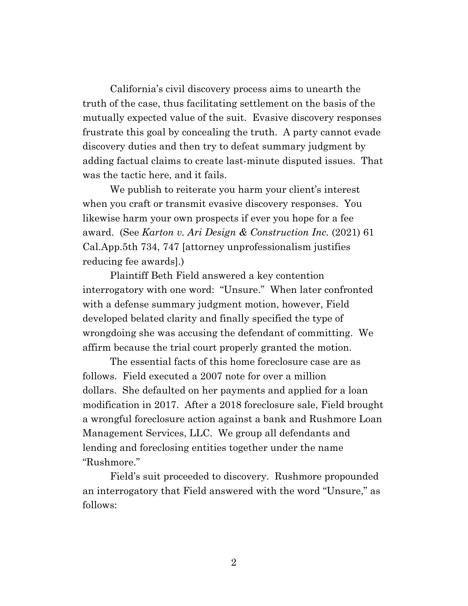California's civil discovery process aims to unearth the truth of the case, thus facilitating settlement on the basis of the mutually expected value of the suit. Evasive discovery responses frustrate this goal by concealing the truth. A party cannot evade discovery duties and then try to defeat summary judgment by adding factual claims to create last-minute disputed issues. That was the tactic here, and it fails.

We publish to reiterate you harm your client's interest when you craft or transmit evasive discovery responses. You likewise harm your own prospects if ever you hope for a fee award. (See *Karton v. Ari Design & Construction Inc.* (2021) 61 Cal.App.5th 734, 747 [attorney unprofessionalism justifies reducing fee awards].)

Plaintiff Beth Field answered a key contention interrogatory with one word: "Unsure." When later confronted with a defense summary judgment motion, however, Field developed belated clarity and finally specified the type of wrongdoing she was accusing the defendant of committing. We affirm because the trial court properly granted the motion.

The essential facts of this home foreclosure case are as follows. Field executed a 2007 note for over a million dollars. She defaulted on her payments and applied for a loan modification in 2017. After a 2018 foreclosure sale, Field brought a wrongful foreclosure action against a bank and Rushmore Loan Management Services, LLC. We group all defendants and lending and foreclosing entities together under the name "Rushmore."

Field's suit proceeded to discovery. Rushmore propounded an interrogatory that Field answered with the word "Unsure," as follows: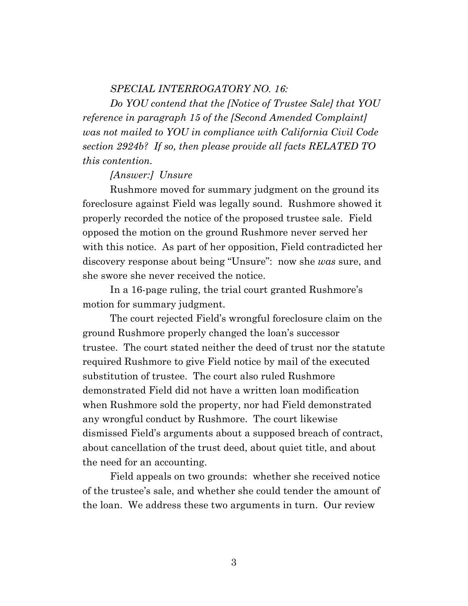### *SPECIAL INTERROGATORY NO. 16:*

*Do YOU contend that the [Notice of Trustee Sale] that YOU reference in paragraph 15 of the [Second Amended Complaint] was not mailed to YOU in compliance with California Civil Code section 2924b? If so, then please provide all facts RELATED TO this contention.*

#### *[Answer:] Unsure*

Rushmore moved for summary judgment on the ground its foreclosure against Field was legally sound. Rushmore showed it properly recorded the notice of the proposed trustee sale. Field opposed the motion on the ground Rushmore never served her with this notice. As part of her opposition, Field contradicted her discovery response about being "Unsure": now she *was* sure, and she swore she never received the notice.

In a 16-page ruling, the trial court granted Rushmore's motion for summary judgment.

The court rejected Field's wrongful foreclosure claim on the ground Rushmore properly changed the loan's successor trustee. The court stated neither the deed of trust nor the statute required Rushmore to give Field notice by mail of the executed substitution of trustee. The court also ruled Rushmore demonstrated Field did not have a written loan modification when Rushmore sold the property, nor had Field demonstrated any wrongful conduct by Rushmore. The court likewise dismissed Field's arguments about a supposed breach of contract, about cancellation of the trust deed, about quiet title, and about the need for an accounting.

Field appeals on two grounds: whether she received notice of the trustee's sale, and whether she could tender the amount of the loan. We address these two arguments in turn. Our review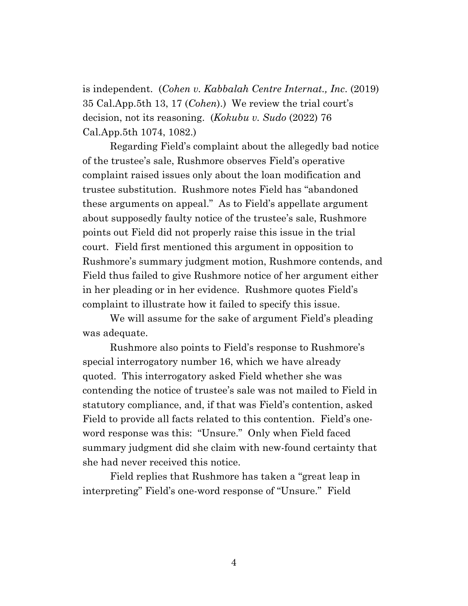is independent. (*Cohen v. Kabbalah Centre Internat., Inc*. (2019) 35 Cal.App.5th 13, 17 (*Cohen*).) We review the trial court's decision, not its reasoning. (*Kokubu v. Sudo* (2022) 76 Cal.App.5th 1074, 1082.)

Regarding Field's complaint about the allegedly bad notice of the trustee's sale, Rushmore observes Field's operative complaint raised issues only about the loan modification and trustee substitution. Rushmore notes Field has "abandoned these arguments on appeal." As to Field's appellate argument about supposedly faulty notice of the trustee's sale, Rushmore points out Field did not properly raise this issue in the trial court. Field first mentioned this argument in opposition to Rushmore's summary judgment motion, Rushmore contends, and Field thus failed to give Rushmore notice of her argument either in her pleading or in her evidence. Rushmore quotes Field's complaint to illustrate how it failed to specify this issue.

We will assume for the sake of argument Field's pleading was adequate.

Rushmore also points to Field's response to Rushmore's special interrogatory number 16, which we have already quoted. This interrogatory asked Field whether she was contending the notice of trustee's sale was not mailed to Field in statutory compliance, and, if that was Field's contention, asked Field to provide all facts related to this contention. Field's oneword response was this: "Unsure." Only when Field faced summary judgment did she claim with new-found certainty that she had never received this notice.

Field replies that Rushmore has taken a "great leap in interpreting" Field's one-word response of "Unsure." Field

4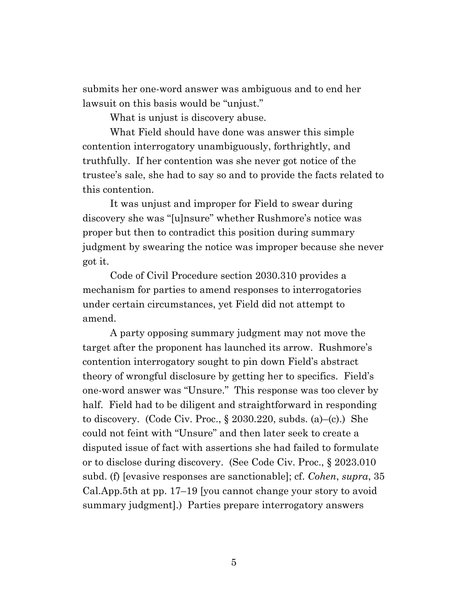submits her one-word answer was ambiguous and to end her lawsuit on this basis would be "unjust."

What is unjust is discovery abuse.

What Field should have done was answer this simple contention interrogatory unambiguously, forthrightly, and truthfully. If her contention was she never got notice of the trustee's sale, she had to say so and to provide the facts related to this contention.

It was unjust and improper for Field to swear during discovery she was "[u]nsure" whether Rushmore's notice was proper but then to contradict this position during summary judgment by swearing the notice was improper because she never got it.

Code of Civil Procedure section 2030.310 provides a mechanism for parties to amend responses to interrogatories under certain circumstances, yet Field did not attempt to amend.

A party opposing summary judgment may not move the target after the proponent has launched its arrow. Rushmore's contention interrogatory sought to pin down Field's abstract theory of wrongful disclosure by getting her to specifics. Field's one-word answer was "Unsure." This response was too clever by half. Field had to be diligent and straightforward in responding to discovery. (Code Civ. Proc., § 2030.220, subds. (a)–(c).) She could not feint with "Unsure" and then later seek to create a disputed issue of fact with assertions she had failed to formulate or to disclose during discovery. (See Code Civ. Proc., § 2023.010 subd. (f) [evasive responses are sanctionable]; cf. *Cohen*, *supra*, 35 Cal.App.5th at pp. 17–19 [you cannot change your story to avoid summary judgment].) Parties prepare interrogatory answers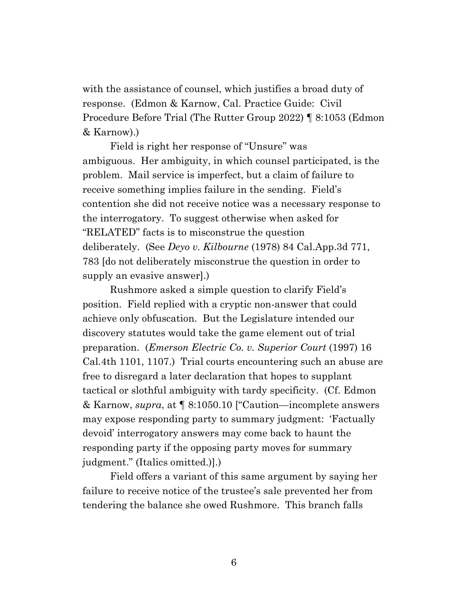with the assistance of counsel, which justifies a broad duty of response. (Edmon & Karnow, Cal. Practice Guide: Civil Procedure Before Trial (The Rutter Group 2022) ¶ 8:1053 (Edmon & Karnow).)

Field is right her response of "Unsure" was ambiguous. Her ambiguity, in which counsel participated, is the problem. Mail service is imperfect, but a claim of failure to receive something implies failure in the sending. Field's contention she did not receive notice was a necessary response to the interrogatory. To suggest otherwise when asked for "RELATED" facts is to misconstrue the question deliberately. (See *Deyo v. Kilbourne* (1978) 84 Cal.App.3d 771, 783 [do not deliberately misconstrue the question in order to supply an evasive answer].)

Rushmore asked a simple question to clarify Field's position. Field replied with a cryptic non-answer that could achieve only obfuscation. But the Legislature intended our discovery statutes would take the game element out of trial preparation. (*Emerson Electric Co. v. Superior Court* (1997) 16 Cal.4th 1101, 1107.) Trial courts encountering such an abuse are free to disregard a later declaration that hopes to supplant tactical or slothful ambiguity with tardy specificity. (Cf. Edmon & Karnow, *supra*, at ¶ 8:1050.10 ["Caution—incomplete answers may expose responding party to summary judgment: 'Factually devoid' interrogatory answers may come back to haunt the responding party if the opposing party moves for summary judgment." (Italics omitted.)].)

Field offers a variant of this same argument by saying her failure to receive notice of the trustee's sale prevented her from tendering the balance she owed Rushmore. This branch falls